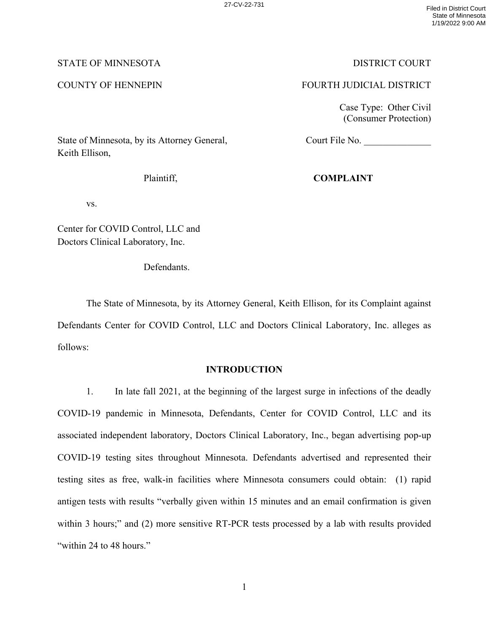## STATE OF MINNESOTA DISTRICT COURT

## COUNTY OF HENNEPIN FOURTH JUDICIAL DISTRICT

Court File No.

Case Type: Other Civil (Consumer Protection)

State of Minnesota, by its Attorney General, Keith Ellison,

Plaintiff,

# **COMPLAINT**

vs.

Center for COVID Control, LLC and Doctors Clinical Laboratory, Inc.

Defendants.

The State of Minnesota, by its Attorney General, Keith Ellison, for its Complaint against Defendants Center for COVID Control, LLC and Doctors Clinical Laboratory, Inc. alleges as follows:

## **INTRODUCTION**

1. In late fall 2021, at the beginning of the largest surge in infections of the deadly COVID-19 pandemic in Minnesota, Defendants, Center for COVID Control, LLC and its associated independent laboratory, Doctors Clinical Laboratory, Inc., began advertising pop-up COVID-19 testing sites throughout Minnesota. Defendants advertised and represented their testing sites as free, walk-in facilities where Minnesota consumers could obtain: (1) rapid antigen tests with results "verbally given within 15 minutes and an email confirmation is given within 3 hours;" and (2) more sensitive RT-PCR tests processed by a lab with results provided "within 24 to 48 hours."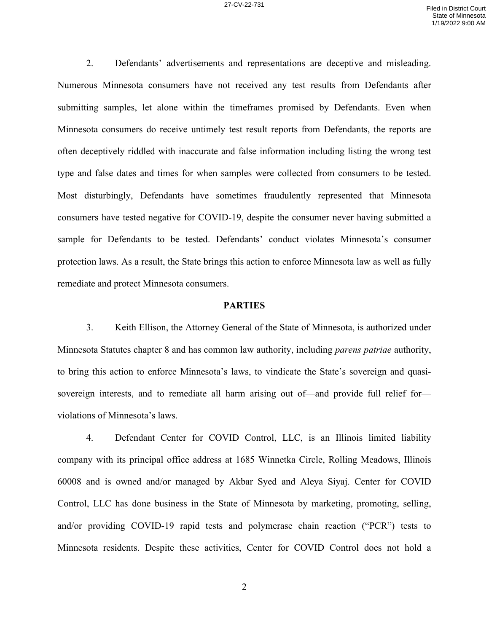2. Defendants' advertisements and representations are deceptive and misleading. Numerous Minnesota consumers have not received any test results from Defendants after submitting samples, let alone within the timeframes promised by Defendants. Even when Minnesota consumers do receive untimely test result reports from Defendants, the reports are often deceptively riddled with inaccurate and false information including listing the wrong test type and false dates and times for when samples were collected from consumers to be tested. Most disturbingly, Defendants have sometimes fraudulently represented that Minnesota consumers have tested negative for COVID-19, despite the consumer never having submitted a sample for Defendants to be tested. Defendants' conduct violates Minnesota's consumer protection laws. As a result, the State brings this action to enforce Minnesota law as well as fully remediate and protect Minnesota consumers.

### **PARTIES**

3. Keith Ellison, the Attorney General of the State of Minnesota, is authorized under Minnesota Statutes chapter 8 and has common law authority, including *parens patriae* authority, to bring this action to enforce Minnesota's laws, to vindicate the State's sovereign and quasisovereign interests, and to remediate all harm arising out of—and provide full relief for violations of Minnesota's laws.

4. Defendant Center for COVID Control, LLC, is an Illinois limited liability company with its principal office address at 1685 Winnetka Circle, Rolling Meadows, Illinois 60008 and is owned and/or managed by Akbar Syed and Aleya Siyaj. Center for COVID Control, LLC has done business in the State of Minnesota by marketing, promoting, selling, and/or providing COVID-19 rapid tests and polymerase chain reaction ("PCR") tests to Minnesota residents. Despite these activities, Center for COVID Control does not hold a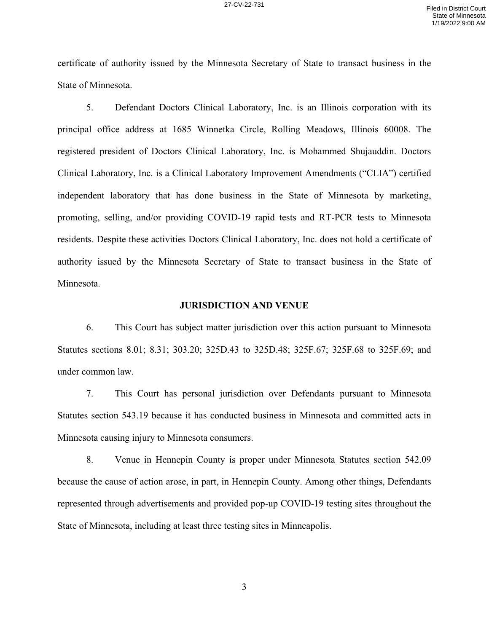certificate of authority issued by the Minnesota Secretary of State to transact business in the State of Minnesota.

5. Defendant Doctors Clinical Laboratory, Inc. is an Illinois corporation with its principal office address at 1685 Winnetka Circle, Rolling Meadows, Illinois 60008. The registered president of Doctors Clinical Laboratory, Inc. is Mohammed Shujauddin. Doctors Clinical Laboratory, Inc. is a Clinical Laboratory Improvement Amendments ("CLIA") certified independent laboratory that has done business in the State of Minnesota by marketing, promoting, selling, and/or providing COVID-19 rapid tests and RT-PCR tests to Minnesota residents. Despite these activities Doctors Clinical Laboratory, Inc. does not hold a certificate of authority issued by the Minnesota Secretary of State to transact business in the State of Minnesota.

#### **JURISDICTION AND VENUE**

6. This Court has subject matter jurisdiction over this action pursuant to Minnesota Statutes sections 8.01; 8.31; 303.20; 325D.43 to 325D.48; 325F.67; 325F.68 to 325F.69; and under common law.

7. This Court has personal jurisdiction over Defendants pursuant to Minnesota Statutes section 543.19 because it has conducted business in Minnesota and committed acts in Minnesota causing injury to Minnesota consumers.

8. Venue in Hennepin County is proper under Minnesota Statutes section 542.09 because the cause of action arose, in part, in Hennepin County. Among other things, Defendants represented through advertisements and provided pop-up COVID-19 testing sites throughout the State of Minnesota, including at least three testing sites in Minneapolis.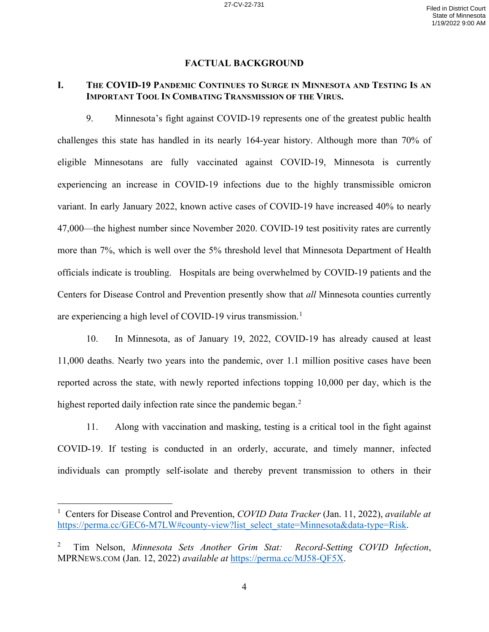### **FACTUAL BACKGROUND**

## **I. THE COVID-19 PANDEMIC CONTINUES TO SURGE IN MINNESOTA AND TESTING IS AN IMPORTANT TOOL IN COMBATING TRANSMISSION OF THE VIRUS.**

9. Minnesota's fight against COVID-19 represents one of the greatest public health challenges this state has handled in its nearly 164-year history. Although more than 70% of eligible Minnesotans are fully vaccinated against COVID-19, Minnesota is currently experiencing an increase in COVID-19 infections due to the highly transmissible omicron variant. In early January 2022, known active cases of COVID-19 have increased 40% to nearly 47,000—the highest number since November 2020. COVID-19 test positivity rates are currently more than 7%, which is well over the 5% threshold level that Minnesota Department of Health officials indicate is troubling. Hospitals are being overwhelmed by COVID-19 patients and the Centers for Disease Control and Prevention presently show that *all* Minnesota counties currently are experiencing a high level of COVID-19 virus transmission.<sup>1</sup>

10. In Minnesota, as of January 19, 2022, COVID-19 has already caused at least 11,000 deaths. Nearly two years into the pandemic, over 1.1 million positive cases have been reported across the state, with newly reported infections topping 10,000 per day, which is the highest reported daily infection rate since the pandemic began.<sup>2</sup>

11. Along with vaccination and masking, testing is a critical tool in the fight against COVID-19. If testing is conducted in an orderly, accurate, and timely manner, infected individuals can promptly self-isolate and thereby prevent transmission to others in their

<sup>1</sup> Centers for Disease Control and Prevention, *COVID Data Tracker* (Jan. 11, 2022), *available at* https://perma.cc/GEC6-M7LW#county-view?list\_select\_state=Minnesota&data-type=Risk.

<sup>2</sup> Tim Nelson, *Minnesota Sets Another Grim Stat: Record-Setting COVID Infection*, MPRNEWS.COM (Jan. 12, 2022) *available at* https://perma.cc/MJ58-QF5X.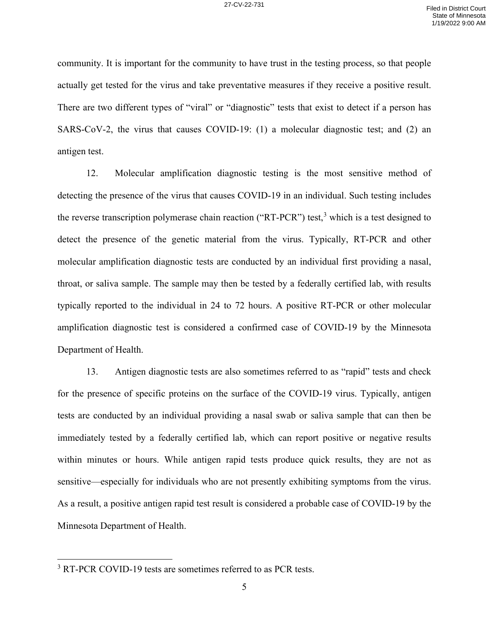community. It is important for the community to have trust in the testing process, so that people actually get tested for the virus and take preventative measures if they receive a positive result. There are two different types of "viral" or "diagnostic" tests that exist to detect if a person has SARS-CoV-2, the virus that causes COVID-19: (1) a molecular diagnostic test; and (2) an antigen test.

12. Molecular amplification diagnostic testing is the most sensitive method of detecting the presence of the virus that causes COVID-19 in an individual. Such testing includes the reverse transcription polymerase chain reaction ("RT-PCR") test,<sup>3</sup> which is a test designed to detect the presence of the genetic material from the virus. Typically, RT-PCR and other molecular amplification diagnostic tests are conducted by an individual first providing a nasal, throat, or saliva sample. The sample may then be tested by a federally certified lab, with results typically reported to the individual in 24 to 72 hours. A positive RT-PCR or other molecular amplification diagnostic test is considered a confirmed case of COVID-19 by the Minnesota Department of Health.

13. Antigen diagnostic tests are also sometimes referred to as "rapid" tests and check for the presence of specific proteins on the surface of the COVID-19 virus. Typically, antigen tests are conducted by an individual providing a nasal swab or saliva sample that can then be immediately tested by a federally certified lab, which can report positive or negative results within minutes or hours. While antigen rapid tests produce quick results, they are not as sensitive—especially for individuals who are not presently exhibiting symptoms from the virus. As a result, a positive antigen rapid test result is considered a probable case of COVID-19 by the Minnesota Department of Health.

<sup>&</sup>lt;sup>3</sup> RT-PCR COVID-19 tests are sometimes referred to as PCR tests.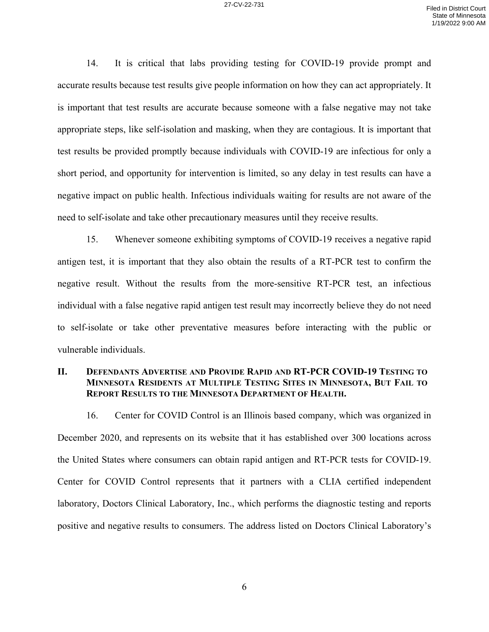14. It is critical that labs providing testing for COVID-19 provide prompt and accurate results because test results give people information on how they can act appropriately. It is important that test results are accurate because someone with a false negative may not take appropriate steps, like self-isolation and masking, when they are contagious. It is important that test results be provided promptly because individuals with COVID-19 are infectious for only a short period, and opportunity for intervention is limited, so any delay in test results can have a negative impact on public health. Infectious individuals waiting for results are not aware of the need to self-isolate and take other precautionary measures until they receive results.

15. Whenever someone exhibiting symptoms of COVID-19 receives a negative rapid antigen test, it is important that they also obtain the results of a RT-PCR test to confirm the negative result. Without the results from the more-sensitive RT-PCR test, an infectious individual with a false negative rapid antigen test result may incorrectly believe they do not need to self-isolate or take other preventative measures before interacting with the public or vulnerable individuals.

## **II. DEFENDANTS ADVERTISE AND PROVIDE RAPID AND RT-PCR COVID-19 TESTING TO MINNESOTA RESIDENTS AT MULTIPLE TESTING SITES IN MINNESOTA, BUT FAIL TO REPORT RESULTS TO THE MINNESOTA DEPARTMENT OF HEALTH.**

16. Center for COVID Control is an Illinois based company, which was organized in December 2020, and represents on its website that it has established over 300 locations across the United States where consumers can obtain rapid antigen and RT-PCR tests for COVID-19. Center for COVID Control represents that it partners with a CLIA certified independent laboratory, Doctors Clinical Laboratory, Inc., which performs the diagnostic testing and reports positive and negative results to consumers. The address listed on Doctors Clinical Laboratory's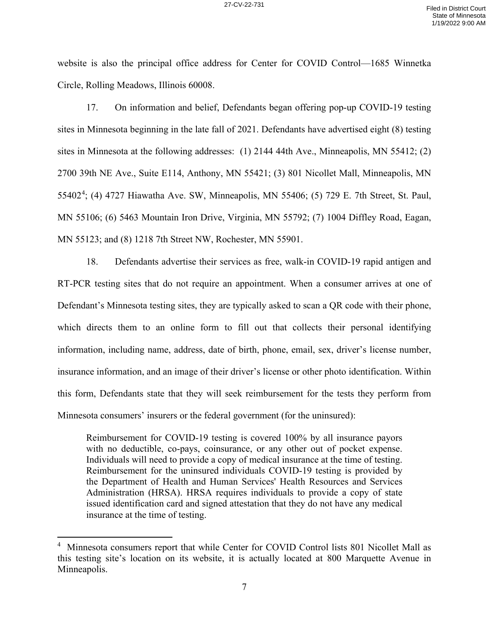website is also the principal office address for Center for COVID Control—1685 Winnetka Circle, Rolling Meadows, Illinois 60008.

17. On information and belief, Defendants began offering pop-up COVID-19 testing sites in Minnesota beginning in the late fall of 2021. Defendants have advertised eight (8) testing sites in Minnesota at the following addresses: (1) 2144 44th Ave., Minneapolis, MN 55412; (2) 2700 39th NE Ave., Suite E114, Anthony, MN 55421; (3) 801 Nicollet Mall, Minneapolis, MN 55402<sup>4</sup>; (4) 4727 Hiawatha Ave. SW, Minneapolis, MN 55406; (5) 729 E. 7th Street, St. Paul, MN 55106; (6) 5463 Mountain Iron Drive, Virginia, MN 55792; (7) 1004 Diffley Road, Eagan, MN 55123; and (8) 1218 7th Street NW, Rochester, MN 55901.

18. Defendants advertise their services as free, walk-in COVID-19 rapid antigen and RT-PCR testing sites that do not require an appointment. When a consumer arrives at one of Defendant's Minnesota testing sites, they are typically asked to scan a QR code with their phone, which directs them to an online form to fill out that collects their personal identifying information, including name, address, date of birth, phone, email, sex, driver's license number, insurance information, and an image of their driver's license or other photo identification. Within this form, Defendants state that they will seek reimbursement for the tests they perform from Minnesota consumers' insurers or the federal government (for the uninsured):

Reimbursement for COVID-19 testing is covered 100% by all insurance payors with no deductible, co-pays, coinsurance, or any other out of pocket expense. Individuals will need to provide a copy of medical insurance at the time of testing. Reimbursement for the uninsured individuals COVID-19 testing is provided by the Department of Health and Human Services' Health Resources and Services Administration (HRSA). HRSA requires individuals to provide a copy of state issued identification card and signed attestation that they do not have any medical insurance at the time of testing.

<sup>&</sup>lt;sup>4</sup> Minnesota consumers report that while Center for COVID Control lists 801 Nicollet Mall as this testing site's location on its website, it is actually located at 800 Marquette Avenue in Minneapolis.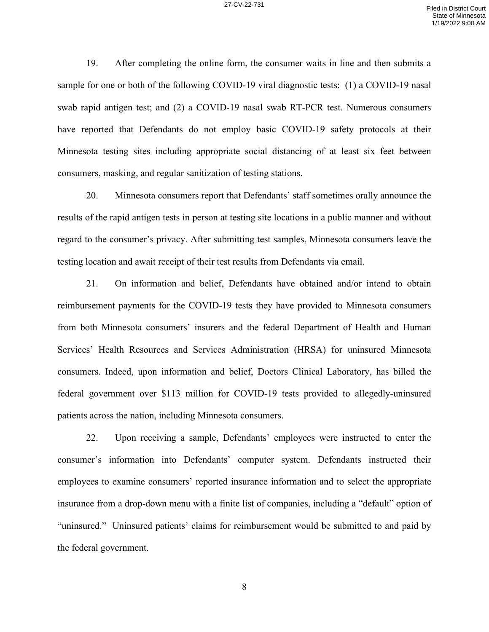19. After completing the online form, the consumer waits in line and then submits a sample for one or both of the following COVID-19 viral diagnostic tests: (1) a COVID-19 nasal swab rapid antigen test; and (2) a COVID-19 nasal swab RT-PCR test. Numerous consumers have reported that Defendants do not employ basic COVID-19 safety protocols at their Minnesota testing sites including appropriate social distancing of at least six feet between consumers, masking, and regular sanitization of testing stations.

20. Minnesota consumers report that Defendants' staff sometimes orally announce the results of the rapid antigen tests in person at testing site locations in a public manner and without regard to the consumer's privacy. After submitting test samples, Minnesota consumers leave the testing location and await receipt of their test results from Defendants via email.

21. On information and belief, Defendants have obtained and/or intend to obtain reimbursement payments for the COVID-19 tests they have provided to Minnesota consumers from both Minnesota consumers' insurers and the federal Department of Health and Human Services' Health Resources and Services Administration (HRSA) for uninsured Minnesota consumers. Indeed, upon information and belief, Doctors Clinical Laboratory, has billed the federal government over \$113 million for COVID-19 tests provided to allegedly-uninsured patients across the nation, including Minnesota consumers.

22. Upon receiving a sample, Defendants' employees were instructed to enter the consumer's information into Defendants' computer system. Defendants instructed their employees to examine consumers' reported insurance information and to select the appropriate insurance from a drop-down menu with a finite list of companies, including a "default" option of "uninsured." Uninsured patients' claims for reimbursement would be submitted to and paid by the federal government.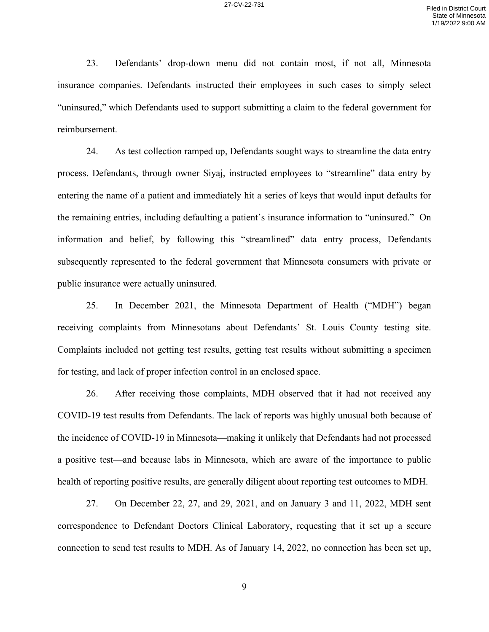23. Defendants' drop-down menu did not contain most, if not all, Minnesota insurance companies. Defendants instructed their employees in such cases to simply select "uninsured," which Defendants used to support submitting a claim to the federal government for reimbursement.

24. As test collection ramped up, Defendants sought ways to streamline the data entry process. Defendants, through owner Siyaj, instructed employees to "streamline" data entry by entering the name of a patient and immediately hit a series of keys that would input defaults for the remaining entries, including defaulting a patient's insurance information to "uninsured." On information and belief, by following this "streamlined" data entry process, Defendants subsequently represented to the federal government that Minnesota consumers with private or public insurance were actually uninsured.

25. In December 2021, the Minnesota Department of Health ("MDH") began receiving complaints from Minnesotans about Defendants' St. Louis County testing site. Complaints included not getting test results, getting test results without submitting a specimen for testing, and lack of proper infection control in an enclosed space.

26. After receiving those complaints, MDH observed that it had not received any COVID-19 test results from Defendants. The lack of reports was highly unusual both because of the incidence of COVID-19 in Minnesota—making it unlikely that Defendants had not processed a positive test—and because labs in Minnesota, which are aware of the importance to public health of reporting positive results, are generally diligent about reporting test outcomes to MDH.

27. On December 22, 27, and 29, 2021, and on January 3 and 11, 2022, MDH sent correspondence to Defendant Doctors Clinical Laboratory, requesting that it set up a secure connection to send test results to MDH. As of January 14, 2022, no connection has been set up,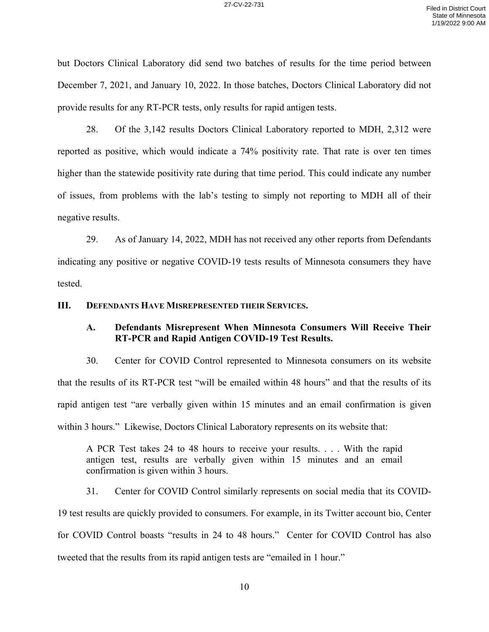but Doctors Clinical Laboratory did send two batches of results for the time period between December 7, 2021, and January 10, 2022. In those batches, Doctors Clinical Laboratory did not provide results for any RT-PCR tests, only results for rapid antigen tests.

28. Of the 3,142 results Doctors Clinical Laboratory reported to MDH, 2,312 were reported as positive, which would indicate a 74% positivity rate. That rate is over ten times higher than the statewide positivity rate during that time period. This could indicate any number of issues, from problems with the lab's testing to simply not reporting to MDH all of their negative results.

29. As of January 14, 2022, MDH has not received any other reports from Defendants indicating any positive or negative COVID-19 tests results of Minnesota consumers they have tested.

### **III. DEFENDANTS HAVE MISREPRESENTED THEIR SERVICES.**

## **A. Defendants Misrepresent When Minnesota Consumers Will Receive Their RT-PCR and Rapid Antigen COVID-19 Test Results.**

30. Center for COVID Control represented to Minnesota consumers on its website that the results of its RT-PCR test "will be emailed within 48 hours" and that the results of its rapid antigen test "are verbally given within 15 minutes and an email confirmation is given within 3 hours." Likewise, Doctors Clinical Laboratory represents on its website that:

A PCR Test takes 24 to 48 hours to receive your results. . . . With the rapid antigen test, results are verbally given within 15 minutes and an email confirmation is given within 3 hours.

31. Center for COVID Control similarly represents on social media that its COVID-

19 test results are quickly provided to consumers. For example, in its Twitter account bio, Center for COVID Control boasts "results in 24 to 48 hours." Center for COVID Control has also tweeted that the results from its rapid antigen tests are "emailed in 1 hour."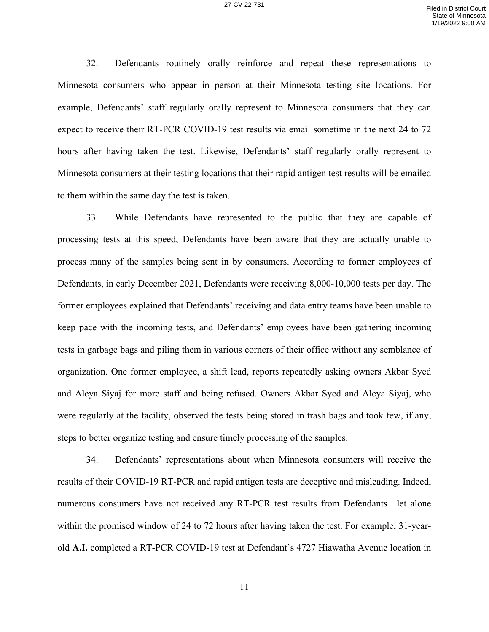32. Defendants routinely orally reinforce and repeat these representations to Minnesota consumers who appear in person at their Minnesota testing site locations. For example, Defendants' staff regularly orally represent to Minnesota consumers that they can expect to receive their RT-PCR COVID-19 test results via email sometime in the next 24 to 72 hours after having taken the test. Likewise, Defendants' staff regularly orally represent to Minnesota consumers at their testing locations that their rapid antigen test results will be emailed to them within the same day the test is taken.

33. While Defendants have represented to the public that they are capable of processing tests at this speed, Defendants have been aware that they are actually unable to process many of the samples being sent in by consumers. According to former employees of Defendants, in early December 2021, Defendants were receiving 8,000-10,000 tests per day. The former employees explained that Defendants' receiving and data entry teams have been unable to keep pace with the incoming tests, and Defendants' employees have been gathering incoming tests in garbage bags and piling them in various corners of their office without any semblance of organization. One former employee, a shift lead, reports repeatedly asking owners Akbar Syed and Aleya Siyaj for more staff and being refused. Owners Akbar Syed and Aleya Siyaj, who were regularly at the facility, observed the tests being stored in trash bags and took few, if any, steps to better organize testing and ensure timely processing of the samples.

34. Defendants' representations about when Minnesota consumers will receive the results of their COVID-19 RT-PCR and rapid antigen tests are deceptive and misleading. Indeed, numerous consumers have not received any RT-PCR test results from Defendants—let alone within the promised window of 24 to 72 hours after having taken the test. For example, 31-yearold **A.I.** completed a RT-PCR COVID-19 test at Defendant's 4727 Hiawatha Avenue location in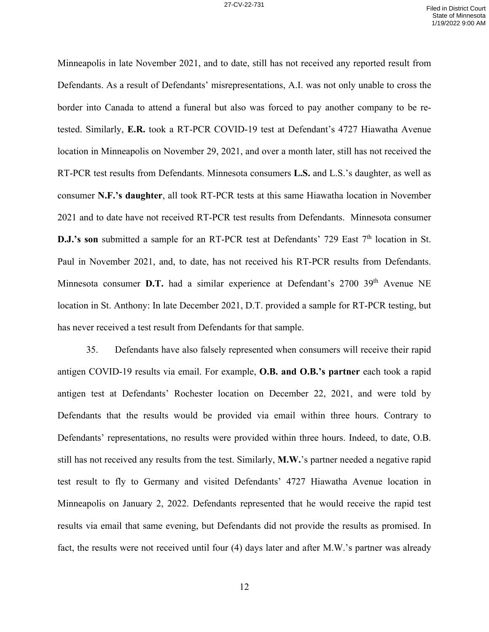Minneapolis in late November 2021, and to date, still has not received any reported result from Defendants. As a result of Defendants' misrepresentations, A.I. was not only unable to cross the border into Canada to attend a funeral but also was forced to pay another company to be retested. Similarly, **E.R.** took a RT-PCR COVID-19 test at Defendant's 4727 Hiawatha Avenue location in Minneapolis on November 29, 2021, and over a month later, still has not received the RT-PCR test results from Defendants. Minnesota consumers **L.S.** and L.S.'s daughter, as well as consumer **N.F.'s daughter**, all took RT-PCR tests at this same Hiawatha location in November 2021 and to date have not received RT-PCR test results from Defendants. Minnesota consumer **D.J.'s son** submitted a sample for an RT-PCR test at Defendants' 729 East 7<sup>th</sup> location in St. Paul in November 2021, and, to date, has not received his RT-PCR results from Defendants. Minnesota consumer **D.T.** had a similar experience at Defendant's 2700 39<sup>th</sup> Avenue NE location in St. Anthony: In late December 2021, D.T. provided a sample for RT-PCR testing, but has never received a test result from Defendants for that sample.

35. Defendants have also falsely represented when consumers will receive their rapid antigen COVID-19 results via email. For example, **O.B. and O.B.'s partner** each took a rapid antigen test at Defendants' Rochester location on December 22, 2021, and were told by Defendants that the results would be provided via email within three hours. Contrary to Defendants' representations, no results were provided within three hours. Indeed, to date, O.B. still has not received any results from the test. Similarly, **M.W.**'s partner needed a negative rapid test result to fly to Germany and visited Defendants' 4727 Hiawatha Avenue location in Minneapolis on January 2, 2022. Defendants represented that he would receive the rapid test results via email that same evening, but Defendants did not provide the results as promised. In fact, the results were not received until four (4) days later and after M.W.'s partner was already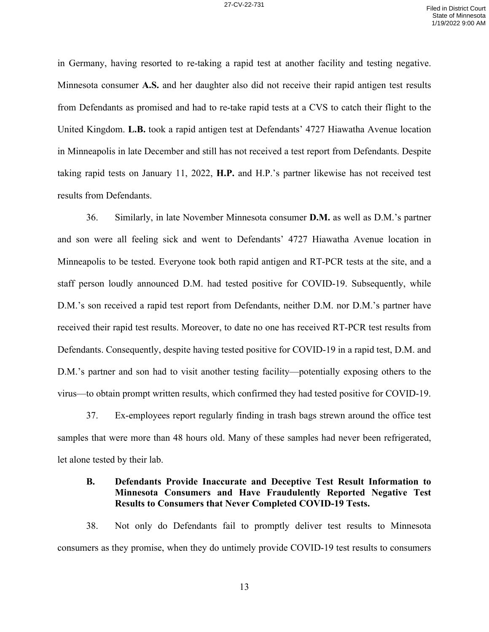in Germany, having resorted to re-taking a rapid test at another facility and testing negative. Minnesota consumer **A.S.** and her daughter also did not receive their rapid antigen test results from Defendants as promised and had to re-take rapid tests at a CVS to catch their flight to the United Kingdom. **L.B.** took a rapid antigen test at Defendants' 4727 Hiawatha Avenue location in Minneapolis in late December and still has not received a test report from Defendants. Despite taking rapid tests on January 11, 2022, **H.P.** and H.P.'s partner likewise has not received test results from Defendants.

36. Similarly, in late November Minnesota consumer **D.M.** as well as D.M.'s partner and son were all feeling sick and went to Defendants' 4727 Hiawatha Avenue location in Minneapolis to be tested. Everyone took both rapid antigen and RT-PCR tests at the site, and a staff person loudly announced D.M. had tested positive for COVID-19. Subsequently, while D.M.'s son received a rapid test report from Defendants, neither D.M. nor D.M.'s partner have received their rapid test results. Moreover, to date no one has received RT-PCR test results from Defendants. Consequently, despite having tested positive for COVID-19 in a rapid test, D.M. and D.M.'s partner and son had to visit another testing facility—potentially exposing others to the virus—to obtain prompt written results, which confirmed they had tested positive for COVID-19.

37. Ex-employees report regularly finding in trash bags strewn around the office test samples that were more than 48 hours old. Many of these samples had never been refrigerated, let alone tested by their lab.

## **B. Defendants Provide Inaccurate and Deceptive Test Result Information to Minnesota Consumers and Have Fraudulently Reported Negative Test Results to Consumers that Never Completed COVID-19 Tests.**

38. Not only do Defendants fail to promptly deliver test results to Minnesota consumers as they promise, when they do untimely provide COVID-19 test results to consumers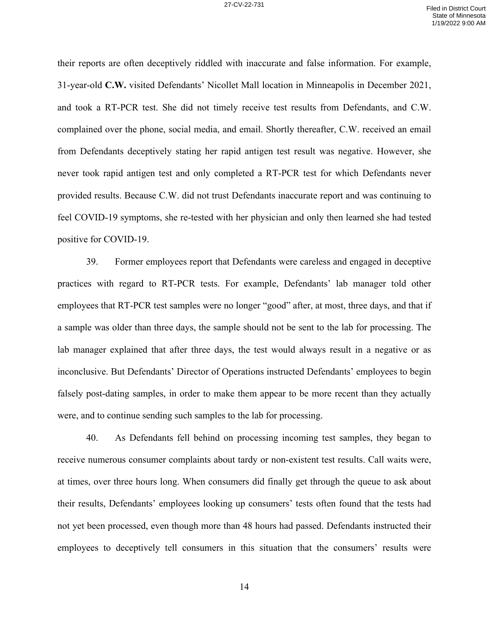their reports are often deceptively riddled with inaccurate and false information. For example, 31-year-old **C.W.** visited Defendants' Nicollet Mall location in Minneapolis in December 2021, and took a RT-PCR test. She did not timely receive test results from Defendants, and C.W. complained over the phone, social media, and email. Shortly thereafter, C.W. received an email from Defendants deceptively stating her rapid antigen test result was negative. However, she never took rapid antigen test and only completed a RT-PCR test for which Defendants never provided results. Because C.W. did not trust Defendants inaccurate report and was continuing to feel COVID-19 symptoms, she re-tested with her physician and only then learned she had tested positive for COVID-19.

39. Former employees report that Defendants were careless and engaged in deceptive practices with regard to RT-PCR tests. For example, Defendants' lab manager told other employees that RT-PCR test samples were no longer "good" after, at most, three days, and that if a sample was older than three days, the sample should not be sent to the lab for processing. The lab manager explained that after three days, the test would always result in a negative or as inconclusive. But Defendants' Director of Operations instructed Defendants' employees to begin falsely post-dating samples, in order to make them appear to be more recent than they actually were, and to continue sending such samples to the lab for processing.

40. As Defendants fell behind on processing incoming test samples, they began to receive numerous consumer complaints about tardy or non-existent test results. Call waits were, at times, over three hours long. When consumers did finally get through the queue to ask about their results, Defendants' employees looking up consumers' tests often found that the tests had not yet been processed, even though more than 48 hours had passed. Defendants instructed their employees to deceptively tell consumers in this situation that the consumers' results were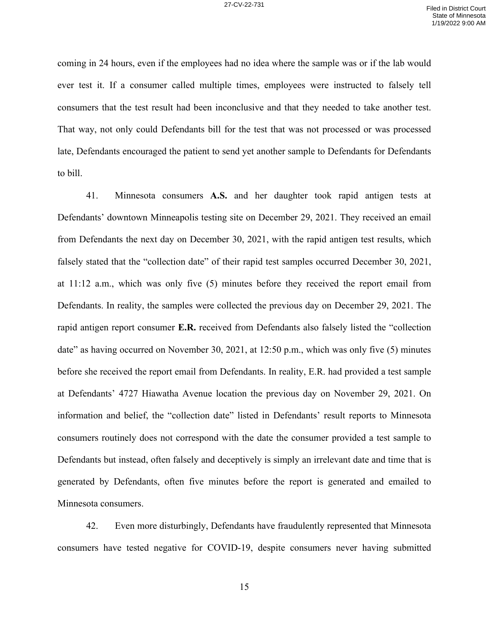coming in 24 hours, even if the employees had no idea where the sample was or if the lab would ever test it. If a consumer called multiple times, employees were instructed to falsely tell consumers that the test result had been inconclusive and that they needed to take another test. That way, not only could Defendants bill for the test that was not processed or was processed late, Defendants encouraged the patient to send yet another sample to Defendants for Defendants to bill.

41. Minnesota consumers **A.S.** and her daughter took rapid antigen tests at Defendants' downtown Minneapolis testing site on December 29, 2021. They received an email from Defendants the next day on December 30, 2021, with the rapid antigen test results, which falsely stated that the "collection date" of their rapid test samples occurred December 30, 2021, at 11:12 a.m., which was only five (5) minutes before they received the report email from Defendants. In reality, the samples were collected the previous day on December 29, 2021. The rapid antigen report consumer **E.R.** received from Defendants also falsely listed the "collection date" as having occurred on November 30, 2021, at 12:50 p.m., which was only five (5) minutes before she received the report email from Defendants. In reality, E.R. had provided a test sample at Defendants' 4727 Hiawatha Avenue location the previous day on November 29, 2021. On information and belief, the "collection date" listed in Defendants' result reports to Minnesota consumers routinely does not correspond with the date the consumer provided a test sample to Defendants but instead, often falsely and deceptively is simply an irrelevant date and time that is generated by Defendants, often five minutes before the report is generated and emailed to Minnesota consumers.

42. Even more disturbingly, Defendants have fraudulently represented that Minnesota consumers have tested negative for COVID-19, despite consumers never having submitted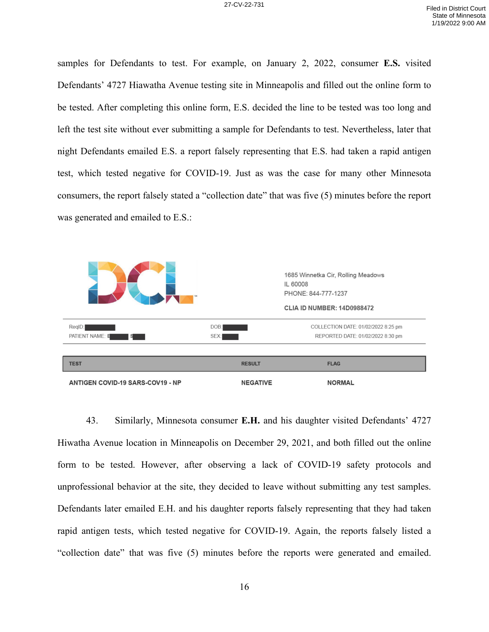samples for Defendants to test. For example, on January 2, 2022, consumer **E.S.** visited Defendants' 4727 Hiawatha Avenue testing site in Minneapolis and filled out the online form to be tested. After completing this online form, E.S. decided the line to be tested was too long and left the test site without ever submitting a sample for Defendants to test. Nevertheless, later that night Defendants emailed E.S. a report falsely representing that E.S. had taken a rapid antigen test, which tested negative for COVID-19. Just as was the case for many other Minnesota consumers, the report falsely stated a "collection date" that was five (5) minutes before the report was generated and emailed to E.S.:



43. Similarly, Minnesota consumer **E.H.** and his daughter visited Defendants' 4727 Hiwatha Avenue location in Minneapolis on December 29, 2021, and both filled out the online form to be tested. However, after observing a lack of COVID-19 safety protocols and unprofessional behavior at the site, they decided to leave without submitting any test samples. Defendants later emailed E.H. and his daughter reports falsely representing that they had taken rapid antigen tests, which tested negative for COVID-19. Again, the reports falsely listed a "collection date" that was five (5) minutes before the reports were generated and emailed.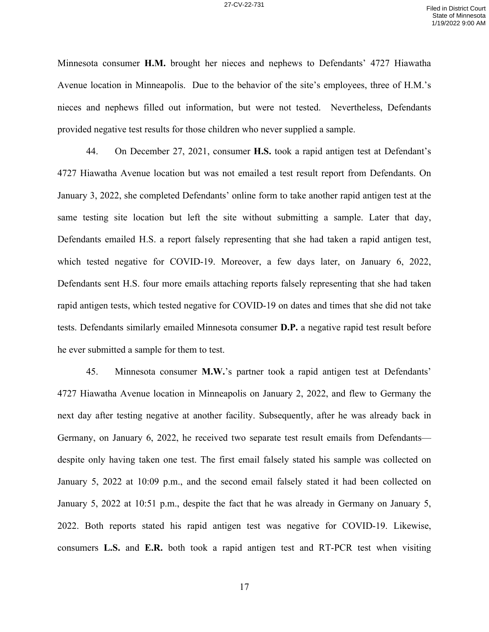Minnesota consumer **H.M.** brought her nieces and nephews to Defendants' 4727 Hiawatha Avenue location in Minneapolis. Due to the behavior of the site's employees, three of H.M.'s nieces and nephews filled out information, but were not tested. Nevertheless, Defendants provided negative test results for those children who never supplied a sample.

44. On December 27, 2021, consumer **H.S.** took a rapid antigen test at Defendant's 4727 Hiawatha Avenue location but was not emailed a test result report from Defendants. On January 3, 2022, she completed Defendants' online form to take another rapid antigen test at the same testing site location but left the site without submitting a sample. Later that day, Defendants emailed H.S. a report falsely representing that she had taken a rapid antigen test, which tested negative for COVID-19. Moreover, a few days later, on January 6, 2022, Defendants sent H.S. four more emails attaching reports falsely representing that she had taken rapid antigen tests, which tested negative for COVID-19 on dates and times that she did not take tests. Defendants similarly emailed Minnesota consumer **D.P.** a negative rapid test result before he ever submitted a sample for them to test.

45. Minnesota consumer **M.W.**'s partner took a rapid antigen test at Defendants' 4727 Hiawatha Avenue location in Minneapolis on January 2, 2022, and flew to Germany the next day after testing negative at another facility. Subsequently, after he was already back in Germany, on January 6, 2022, he received two separate test result emails from Defendants despite only having taken one test. The first email falsely stated his sample was collected on January 5, 2022 at 10:09 p.m., and the second email falsely stated it had been collected on January 5, 2022 at 10:51 p.m., despite the fact that he was already in Germany on January 5, 2022. Both reports stated his rapid antigen test was negative for COVID-19. Likewise, consumers **L.S.** and **E.R.** both took a rapid antigen test and RT-PCR test when visiting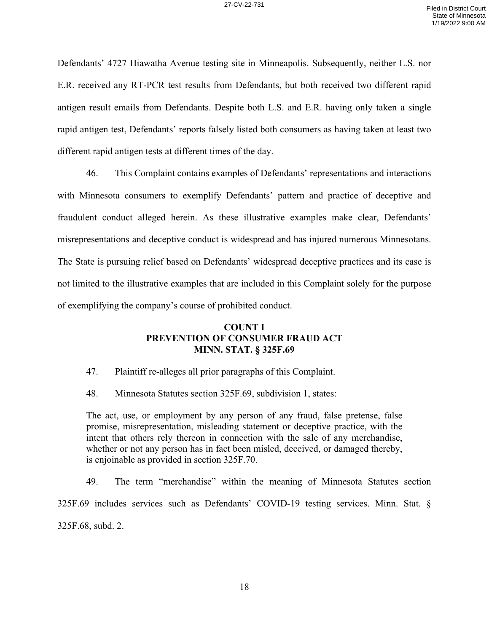Defendants' 4727 Hiawatha Avenue testing site in Minneapolis. Subsequently, neither L.S. nor E.R. received any RT-PCR test results from Defendants, but both received two different rapid antigen result emails from Defendants. Despite both L.S. and E.R. having only taken a single rapid antigen test, Defendants' reports falsely listed both consumers as having taken at least two different rapid antigen tests at different times of the day.

46. This Complaint contains examples of Defendants' representations and interactions with Minnesota consumers to exemplify Defendants' pattern and practice of deceptive and fraudulent conduct alleged herein. As these illustrative examples make clear, Defendants' misrepresentations and deceptive conduct is widespread and has injured numerous Minnesotans. The State is pursuing relief based on Defendants' widespread deceptive practices and its case is not limited to the illustrative examples that are included in this Complaint solely for the purpose of exemplifying the company's course of prohibited conduct.

## **COUNT I PREVENTION OF CONSUMER FRAUD ACT MINN. STAT. § 325F.69**

- 47. Plaintiff re-alleges all prior paragraphs of this Complaint.
- 48. Minnesota Statutes section 325F.69, subdivision 1, states:

The act, use, or employment by any person of any fraud, false pretense, false promise, misrepresentation, misleading statement or deceptive practice, with the intent that others rely thereon in connection with the sale of any merchandise, whether or not any person has in fact been misled, deceived, or damaged thereby, is enjoinable as provided in section 325F.70.

49. The term "merchandise" within the meaning of Minnesota Statutes section 325F.69 includes services such as Defendants' COVID-19 testing services. Minn. Stat. § 325F.68, subd. 2.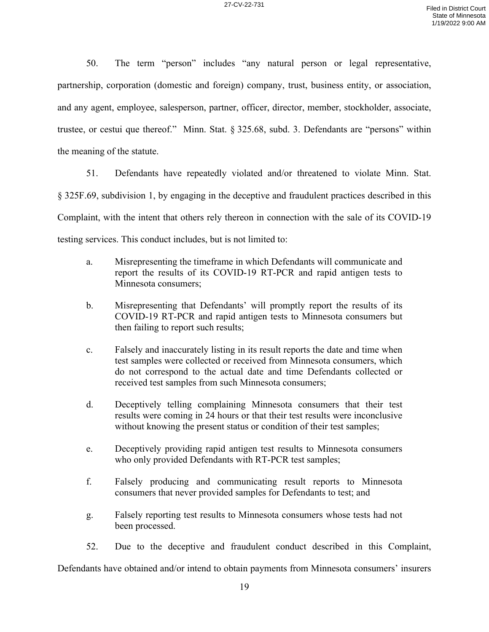50. The term "person" includes "any natural person or legal representative, partnership, corporation (domestic and foreign) company, trust, business entity, or association, and any agent, employee, salesperson, partner, officer, director, member, stockholder, associate, trustee, or cestui que thereof." Minn. Stat. § 325.68, subd. 3. Defendants are "persons" within the meaning of the statute.

51. Defendants have repeatedly violated and/or threatened to violate Minn. Stat. § 325F.69, subdivision 1, by engaging in the deceptive and fraudulent practices described in this Complaint, with the intent that others rely thereon in connection with the sale of its COVID-19 testing services. This conduct includes, but is not limited to:

- a. Misrepresenting the timeframe in which Defendants will communicate and report the results of its COVID-19 RT-PCR and rapid antigen tests to Minnesota consumers;
- b. Misrepresenting that Defendants' will promptly report the results of its COVID-19 RT-PCR and rapid antigen tests to Minnesota consumers but then failing to report such results;
- c. Falsely and inaccurately listing in its result reports the date and time when test samples were collected or received from Minnesota consumers, which do not correspond to the actual date and time Defendants collected or received test samples from such Minnesota consumers;
- d. Deceptively telling complaining Minnesota consumers that their test results were coming in 24 hours or that their test results were inconclusive without knowing the present status or condition of their test samples;
- e. Deceptively providing rapid antigen test results to Minnesota consumers who only provided Defendants with RT-PCR test samples;
- f. Falsely producing and communicating result reports to Minnesota consumers that never provided samples for Defendants to test; and
- g. Falsely reporting test results to Minnesota consumers whose tests had not been processed.
- 52. Due to the deceptive and fraudulent conduct described in this Complaint,

Defendants have obtained and/or intend to obtain payments from Minnesota consumers' insurers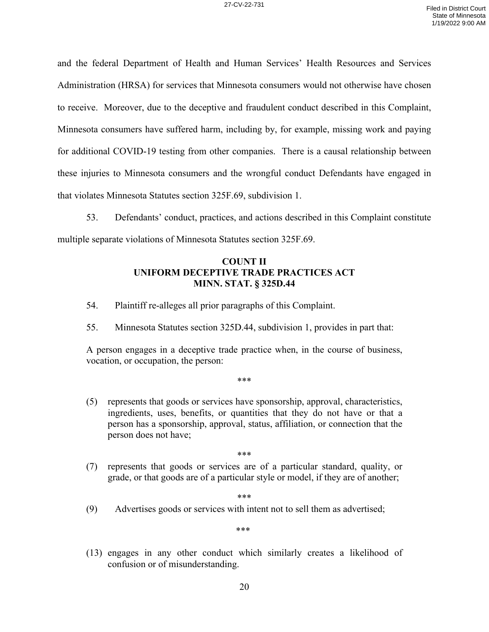and the federal Department of Health and Human Services' Health Resources and Services Administration (HRSA) for services that Minnesota consumers would not otherwise have chosen to receive. Moreover, due to the deceptive and fraudulent conduct described in this Complaint, Minnesota consumers have suffered harm, including by, for example, missing work and paying for additional COVID-19 testing from other companies. There is a causal relationship between these injuries to Minnesota consumers and the wrongful conduct Defendants have engaged in that violates Minnesota Statutes section 325F.69, subdivision 1.

53. Defendants' conduct, practices, and actions described in this Complaint constitute multiple separate violations of Minnesota Statutes section 325F.69.

## **COUNT II UNIFORM DECEPTIVE TRADE PRACTICES ACT MINN. STAT. § 325D.44**

- 54. Plaintiff re-alleges all prior paragraphs of this Complaint.
- 55. Minnesota Statutes section 325D.44, subdivision 1, provides in part that:

A person engages in a deceptive trade practice when, in the course of business, vocation, or occupation, the person:

\*\*\*

(5) represents that goods or services have sponsorship, approval, characteristics, ingredients, uses, benefits, or quantities that they do not have or that a person has a sponsorship, approval, status, affiliation, or connection that the person does not have;

\*\*\*

(7) represents that goods or services are of a particular standard, quality, or grade, or that goods are of a particular style or model, if they are of another;

\*\*\*

(9) Advertises goods or services with intent not to sell them as advertised;

\*\*\*

(13) engages in any other conduct which similarly creates a likelihood of confusion or of misunderstanding.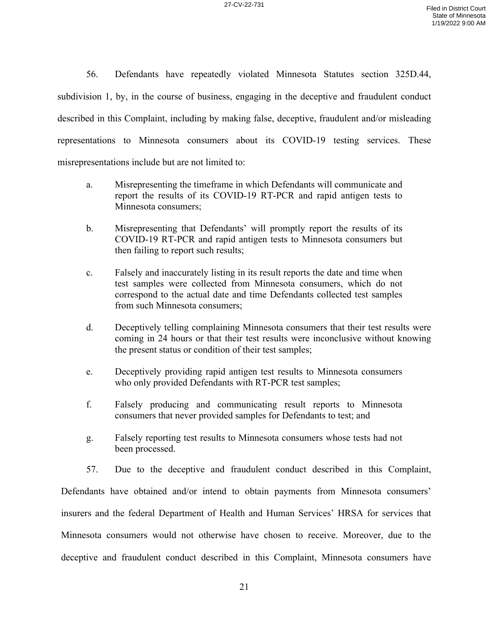56. Defendants have repeatedly violated Minnesota Statutes section 325D.44, subdivision 1, by, in the course of business, engaging in the deceptive and fraudulent conduct described in this Complaint, including by making false, deceptive, fraudulent and/or misleading representations to Minnesota consumers about its COVID-19 testing services. These misrepresentations include but are not limited to:

- a. Misrepresenting the timeframe in which Defendants will communicate and report the results of its COVID-19 RT-PCR and rapid antigen tests to Minnesota consumers;
- b. Misrepresenting that Defendants' will promptly report the results of its COVID-19 RT-PCR and rapid antigen tests to Minnesota consumers but then failing to report such results;
- c. Falsely and inaccurately listing in its result reports the date and time when test samples were collected from Minnesota consumers, which do not correspond to the actual date and time Defendants collected test samples from such Minnesota consumers;
- d. Deceptively telling complaining Minnesota consumers that their test results were coming in 24 hours or that their test results were inconclusive without knowing the present status or condition of their test samples;
- e. Deceptively providing rapid antigen test results to Minnesota consumers who only provided Defendants with RT-PCR test samples;
- f. Falsely producing and communicating result reports to Minnesota consumers that never provided samples for Defendants to test; and
- g. Falsely reporting test results to Minnesota consumers whose tests had not been processed.

57. Due to the deceptive and fraudulent conduct described in this Complaint,

Defendants have obtained and/or intend to obtain payments from Minnesota consumers' insurers and the federal Department of Health and Human Services' HRSA for services that Minnesota consumers would not otherwise have chosen to receive. Moreover, due to the deceptive and fraudulent conduct described in this Complaint, Minnesota consumers have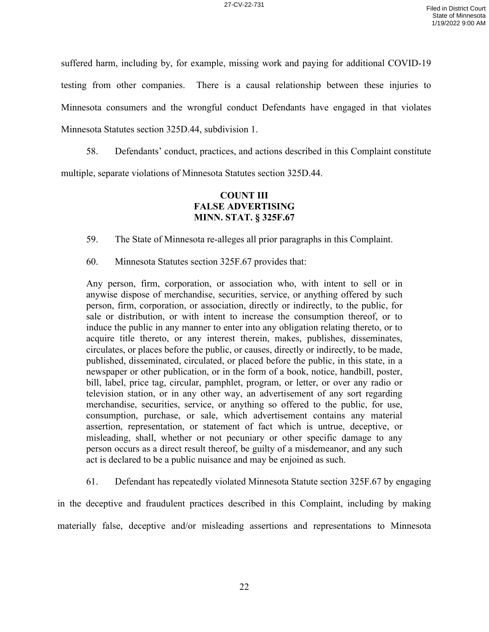suffered harm, including by, for example, missing work and paying for additional COVID-19

testing from other companies. There is a causal relationship between these injuries to

Minnesota consumers and the wrongful conduct Defendants have engaged in that violates

Minnesota Statutes section 325D.44, subdivision 1.

58. Defendants' conduct, practices, and actions described in this Complaint constitute multiple, separate violations of Minnesota Statutes section 325D.44.

# **COUNT III FALSE ADVERTISING MINN. STAT. § 325F.67**

59. The State of Minnesota re-alleges all prior paragraphs in this Complaint.

60. Minnesota Statutes section 325F.67 provides that:

Any person, firm, corporation, or association who, with intent to sell or in anywise dispose of merchandise, securities, service, or anything offered by such person, firm, corporation, or association, directly or indirectly, to the public, for sale or distribution, or with intent to increase the consumption thereof, or to induce the public in any manner to enter into any obligation relating thereto, or to acquire title thereto, or any interest therein, makes, publishes, disseminates, circulates, or places before the public, or causes, directly or indirectly, to be made, published, disseminated, circulated, or placed before the public, in this state, in a newspaper or other publication, or in the form of a book, notice, handbill, poster, bill, label, price tag, circular, pamphlet, program, or letter, or over any radio or television station, or in any other way, an advertisement of any sort regarding merchandise, securities, service, or anything so offered to the public, for use, consumption, purchase, or sale, which advertisement contains any material assertion, representation, or statement of fact which is untrue, deceptive, or misleading, shall, whether or not pecuniary or other specific damage to any person occurs as a direct result thereof, be guilty of a misdemeanor, and any such act is declared to be a public nuisance and may be enjoined as such.

61. Defendant has repeatedly violated Minnesota Statute section 325F.67 by engaging

in the deceptive and fraudulent practices described in this Complaint, including by making materially false, deceptive and/or misleading assertions and representations to Minnesota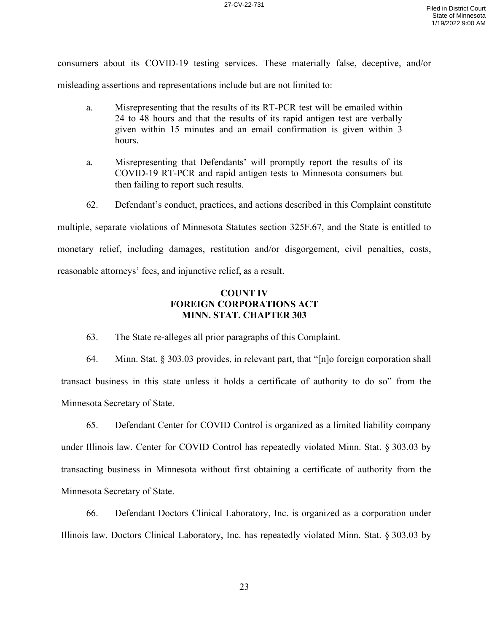consumers about its COVID-19 testing services. These materially false, deceptive, and/or

misleading assertions and representations include but are not limited to:

- a. Misrepresenting that the results of its RT-PCR test will be emailed within 24 to 48 hours and that the results of its rapid antigen test are verbally given within 15 minutes and an email confirmation is given within 3 hours.
- a. Misrepresenting that Defendants' will promptly report the results of its COVID-19 RT-PCR and rapid antigen tests to Minnesota consumers but then failing to report such results.
- 62. Defendant's conduct, practices, and actions described in this Complaint constitute

multiple, separate violations of Minnesota Statutes section 325F.67, and the State is entitled to monetary relief, including damages, restitution and/or disgorgement, civil penalties, costs, reasonable attorneys' fees, and injunctive relief, as a result.

## **COUNT IV FOREIGN CORPORATIONS ACT MINN. STAT. CHAPTER 303**

63. The State re-alleges all prior paragraphs of this Complaint.

64. Minn. Stat. § 303.03 provides, in relevant part, that "[n]o foreign corporation shall transact business in this state unless it holds a certificate of authority to do so" from the Minnesota Secretary of State.

65. Defendant Center for COVID Control is organized as a limited liability company under Illinois law. Center for COVID Control has repeatedly violated Minn. Stat. § 303.03 by transacting business in Minnesota without first obtaining a certificate of authority from the Minnesota Secretary of State.

66. Defendant Doctors Clinical Laboratory, Inc. is organized as a corporation under Illinois law. Doctors Clinical Laboratory, Inc. has repeatedly violated Minn. Stat. § 303.03 by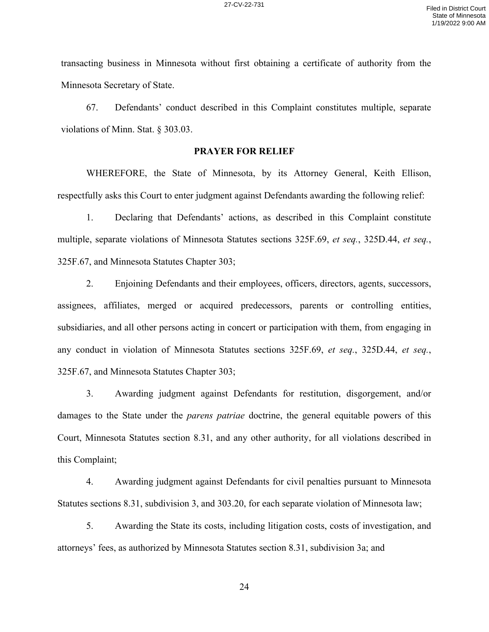transacting business in Minnesota without first obtaining a certificate of authority from the Minnesota Secretary of State.

67. Defendants' conduct described in this Complaint constitutes multiple, separate violations of Minn. Stat. § 303.03.

### **PRAYER FOR RELIEF**

WHEREFORE, the State of Minnesota, by its Attorney General, Keith Ellison, respectfully asks this Court to enter judgment against Defendants awarding the following relief:

1. Declaring that Defendants' actions, as described in this Complaint constitute multiple, separate violations of Minnesota Statutes sections 325F.69, *et seq.*, 325D.44, *et seq.*, 325F.67, and Minnesota Statutes Chapter 303;

2. Enjoining Defendants and their employees, officers, directors, agents, successors, assignees, affiliates, merged or acquired predecessors, parents or controlling entities, subsidiaries, and all other persons acting in concert or participation with them, from engaging in any conduct in violation of Minnesota Statutes sections 325F.69, *et seq.*, 325D.44, *et seq.*, 325F.67, and Minnesota Statutes Chapter 303;

3. Awarding judgment against Defendants for restitution, disgorgement, and/or damages to the State under the *parens patriae* doctrine, the general equitable powers of this Court, Minnesota Statutes section 8.31, and any other authority, for all violations described in this Complaint;

4. Awarding judgment against Defendants for civil penalties pursuant to Minnesota Statutes sections 8.31, subdivision 3, and 303.20, for each separate violation of Minnesota law;

5. Awarding the State its costs, including litigation costs, costs of investigation, and attorneys' fees, as authorized by Minnesota Statutes section 8.31, subdivision 3a; and